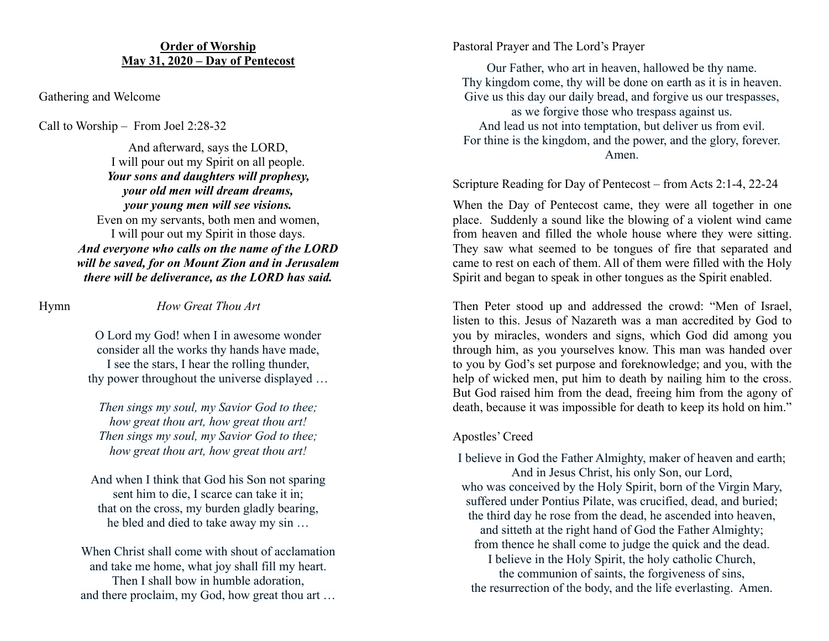## **Order of Worship May 31, 2020 – Day of Pentecost**

Gathering and Welcome

Call to Worship – From Joel 2:28-32

And afterward, says the LORD, I will pour out my Spirit on all people. *Your sons and daughters will prophesy, your old men will dream dreams, your young men will see visions.* Even on my servants, both men and women, I will pour out my Spirit in those days. *And everyone who calls on the name of the LORD will be saved, for on Mount Zion and in Jerusalem there will be deliverance, as the LORD has said.*

## Hymn *How Great Thou Art*

O Lord my God! when I in awesome wonder consider all the works thy hands have made, I see the stars, I hear the rolling thunder, thy power throughout the universe displayed …

*Then sings my soul, my Savior God to thee; how great thou art, how great thou art! Then sings my soul, my Savior God to thee; how great thou art, how great thou art!*

And when I think that God his Son not sparing sent him to die, I scarce can take it in; that on the cross, my burden gladly bearing, he bled and died to take away my sin …

When Christ shall come with shout of acclamation and take me home, what joy shall fill my heart. Then I shall bow in humble adoration, and there proclaim, my God, how great thou art …

#### Pastoral Prayer and The Lord's Prayer

Our Father, who art in heaven, hallowed be thy name. Thy kingdom come, thy will be done on earth as it is in heaven. Give us this day our daily bread, and forgive us our trespasses, as we forgive those who trespass against us. And lead us not into temptation, but deliver us from evil. For thine is the kingdom, and the power, and the glory, forever. Amen.

#### Scripture Reading for Day of Pentecost – from Acts 2:1-4, 22-24

When the Day of Pentecost came, they were all together in one place. Suddenly a sound like the blowing of a violent wind came from heaven and filled the whole house where they were sitting. They saw what seemed to be tongues of fire that separated and came to rest on each of them. All of them were filled with the Holy Spirit and began to speak in other tongues as the Spirit enabled.

Then Peter stood up and addressed the crowd: "Men of Israel, listen to this. Jesus of Nazareth was a man accredited by God to you by miracles, wonders and signs, which God did among you through him, as you yourselves know. This man was handed over to you by God's set purpose and foreknowledge; and you, with the help of wicked men, put him to death by nailing him to the cross. But God raised him from the dead, freeing him from the agony of death, because it was impossible for death to keep its hold on him."

#### Apostles' Creed

I believe in God the Father Almighty, maker of heaven and earth; And in Jesus Christ, his only Son, our Lord, who was conceived by the Holy Spirit, born of the Virgin Mary, suffered under Pontius Pilate, was crucified, dead, and buried; the third day he rose from the dead, he ascended into heaven, and sitteth at the right hand of God the Father Almighty; from thence he shall come to judge the quick and the dead.

I believe in the Holy Spirit, the holy catholic Church, the communion of saints, the forgiveness of sins, the resurrection of the body, and the life everlasting. Amen.